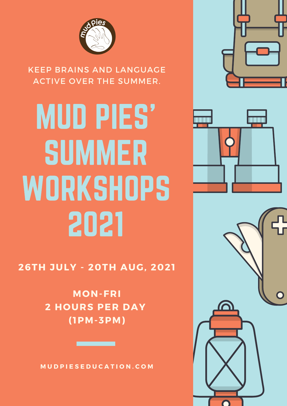

KEEP BRAINS AND LANGUAGE ACTIVE OVER THE SUMMER.

# MUD PIES' SUMMER **WORKSHOPS** 2021



**MON-FRI 2 HOURS PER DAY ( 1PM-3PM)**

**M U D P I E S E D U C A T I O N . C O M**





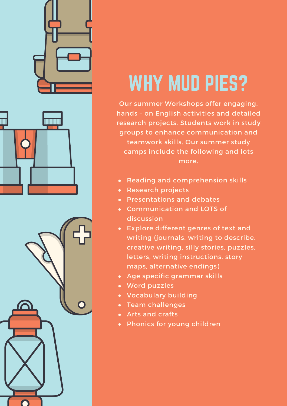





## WHY MUD PIES?

Our summer Workshops offer engaging, hands – on English activities and detailed research projects. Students work in study groups to enhance communication and teamwork skills. Our summer study camps include the following and lots more.

- Reading and comprehension skills
- Research projects
- Presentations and debates
- Communication and LOTS of discussion
- Explore different genres of text and writing (journals, writing to describe, creative writing, silly stories, puzzles, letters, writing instructions, story maps, alternative endings)
- Age specific grammar skills
- Word puzzles
- Vocabulary building
- Team challenges
- Arts and crafts
- Phonics for young children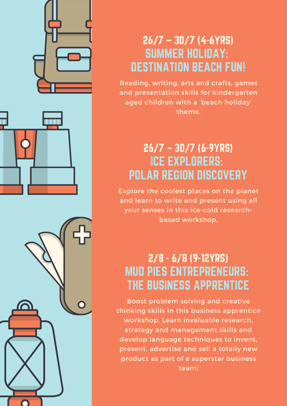



Reading, writing, arts and crafts, games and presentation skills for kindergarten aged children with a 'beach holiday' theme.

#### 26/7 – 30/7 (6-9YRS) ICE EXPLORERS: POLAR REGION DISCOVERY

Explore the coolest places on the planet and learn to write and present using all your senses in this ice-cold researchbased workshop.

#### 2/8 - 6/8 (9-12YRS) MUD PIES ENTREPRENEURS: THE BUSINESS APPRENTICE

Boost problem solving and creative thinking skills in this business apprentice workshop. Learn invaluable research, strategy and management skills and develop language techniques to invent, present, advertise and sell a totally new product as part of a superstar business team!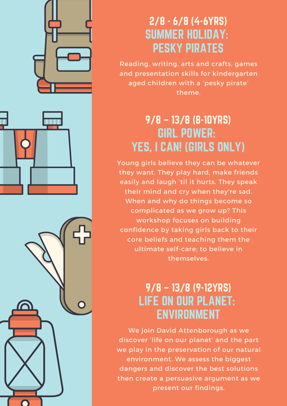



Reading, writing, arts and crafts, games and presentation skills for kindergarten aged children with a 'pesky pirate' theme.

#### 9/8 – 13/8 (8-10YRS) GIRL POWER: YES, I CAN! (GIRLS ONLY)

Young girls believe they can be whatever they want. They play hard, make friends easily and laugh 'til it hurts. They speak their mind and cry when they're sad. When and why do things become so complicated as we grow up? This workshop focuses on building confidence by taking girls back to their core beliefs and teaching them the ultimate self-care; to believe in themselves.

#### 9/8 – 13/8 (9-12YRS) LIFE ON OUR PLANET: ENVIRONMENT

We join David Attenborough as we discover 'life on our planet' and the part we play in the preservation of our natural environment. We assess the biggest dangers and discover the best solutions then create a persuasive argument as we present our findings.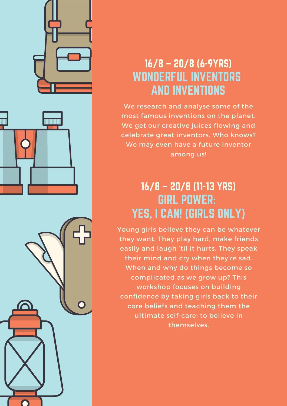





#### 16/8 – 20/8 (6-9YRS) WONDERFUL INVENTORS AND INVENTIONS

We research and analyse some of the most famous inventions on the planet. We get our creative juices flowing and celebrate great inventors. Who knows? We may even have a future inventor among us!

#### 16/8 – 20/8 (11-13 YRS) GIRL POWER: YES, I CAN! (GIRLS ONLY)

Young girls believe they can be whatever they want. They play hard, make friends easily and laugh 'til it hurts. They speak their mind and cry when they're sad. When and why do things become so complicated as we grow up? This workshop focuses on building confidence by taking girls back to their core beliefs and teaching them the ultimate self-care; to believe in themselves.